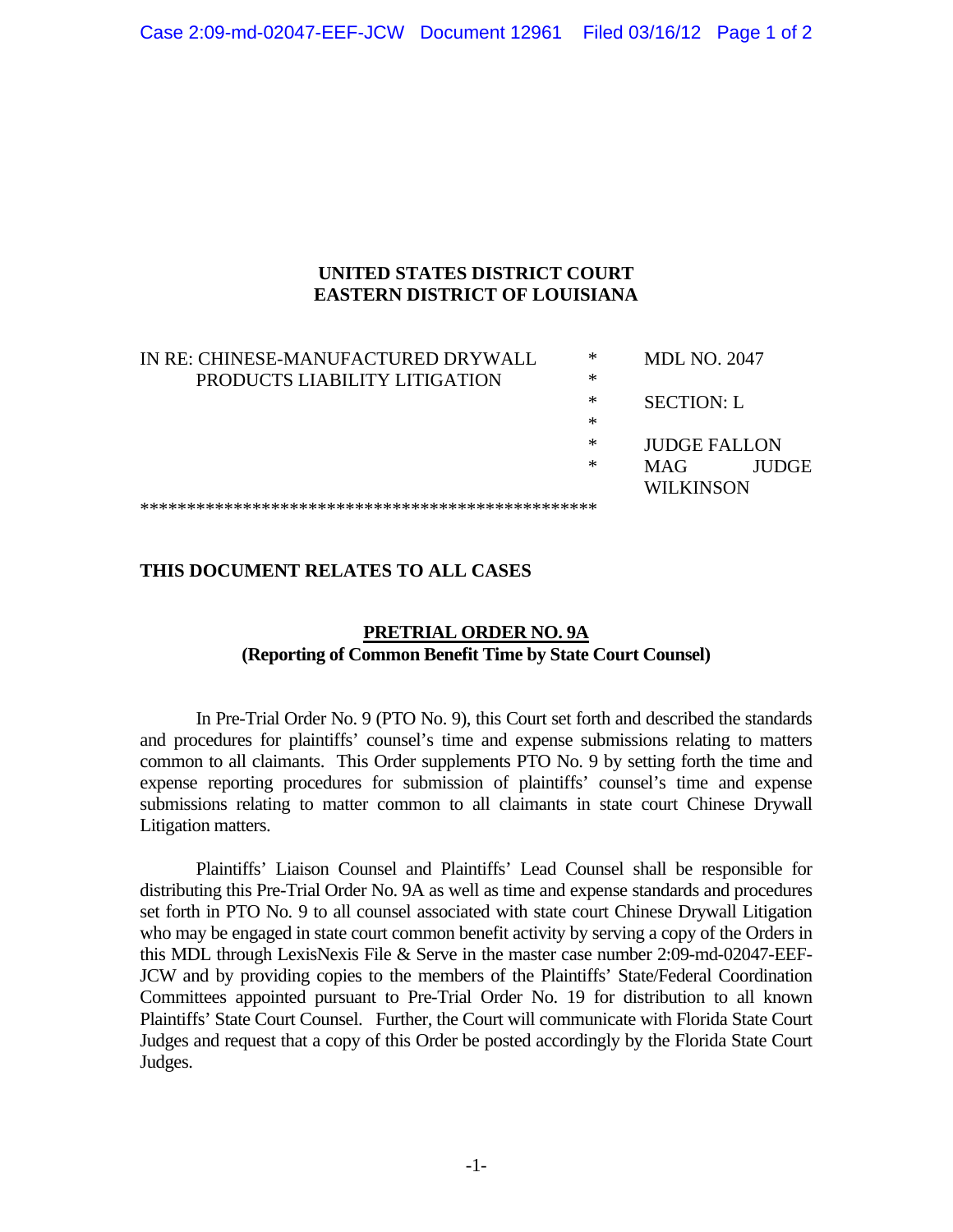## **UNITED STATES DISTRICT COURT EASTERN DISTRICT OF LOUISIANA**

| IN RE: CHINESE-MANUFACTURED DRYWALL | ∗         | <b>MDL NO. 2047</b> |              |  |
|-------------------------------------|-----------|---------------------|--------------|--|
| PRODUCTS LIABILITY LITIGATION       | ∗         |                     |              |  |
|                                     | ∗         | <b>SECTION: L</b>   |              |  |
|                                     | ∗         |                     |              |  |
|                                     | ∗         | <b>JUDGE FALLON</b> |              |  |
|                                     | ∗         | <b>MAG</b>          | <b>IUDGE</b> |  |
|                                     | WILKINSON |                     |              |  |
|                                     |           |                     |              |  |

## **THIS DOCUMENT RELATES TO ALL CASES**

## **PRETRIAL ORDER NO. 9A (Reporting of Common Benefit Time by State Court Counsel)**

 In Pre-Trial Order No. 9 (PTO No. 9), this Court set forth and described the standards and procedures for plaintiffs' counsel's time and expense submissions relating to matters common to all claimants. This Order supplements PTO No. 9 by setting forth the time and expense reporting procedures for submission of plaintiffs' counsel's time and expense submissions relating to matter common to all claimants in state court Chinese Drywall Litigation matters.

 Plaintiffs' Liaison Counsel and Plaintiffs' Lead Counsel shall be responsible for distributing this Pre-Trial Order No. 9A as well as time and expense standards and procedures set forth in PTO No. 9 to all counsel associated with state court Chinese Drywall Litigation who may be engaged in state court common benefit activity by serving a copy of the Orders in this MDL through LexisNexis File & Serve in the master case number 2:09-md-02047-EEF-JCW and by providing copies to the members of the Plaintiffs' State/Federal Coordination Committees appointed pursuant to Pre-Trial Order No. 19 for distribution to all known Plaintiffs' State Court Counsel. Further, the Court will communicate with Florida State Court Judges and request that a copy of this Order be posted accordingly by the Florida State Court Judges.